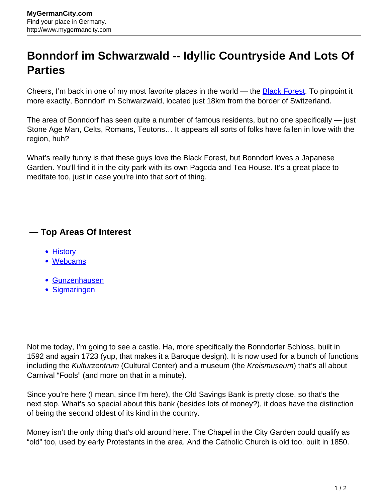## **Bonndorf im Schwarzwald -- Idyllic Countryside And Lots Of Parties**

Cheers, I'm back in one of my most favorite places in the world — the **[Black Forest](http://www.mygermancity.com/black-forest)**. To pinpoint it more exactly, Bonndorf im Schwarzwald, located just 18km from the border of Switzerland.

The area of Bonndorf has seen quite a number of famous residents, but no one specifically — just Stone Age Man, Celts, Romans, Teutons… It appears all sorts of folks have fallen in love with the region, huh?

What's really funny is that these guys love the Black Forest, but Bonndorf loves a Japanese Garden. You'll find it in the city park with its own Pagoda and Tea House. It's a great place to meditate too, just in case you're into that sort of thing.

## **— Top Areas Of Interest**

- **[History](http://www.mygermancity.com/leipzig-history)**
- [Webcams](http://www.mygermancity.com/neustadt-holstein-webcams)
- [Gunzenhausen](http://www.mygermancity.com/gunzenhausen)
- [Sigmaringen](http://www.mygermancity.com/sigmaringen)

Not me today, I'm going to see a castle. Ha, more specifically the Bonndorfer Schloss, built in 1592 and again 1723 (yup, that makes it a Baroque design). It is now used for a bunch of functions including the Kulturzentrum (Cultural Center) and a museum (the Kreismuseum) that's all about Carnival "Fools" (and more on that in a minute).

Since you're here (I mean, since I'm here), the Old Savings Bank is pretty close, so that's the next stop. What's so special about this bank (besides lots of money?), it does have the distinction of being the second oldest of its kind in the country.

Money isn't the only thing that's old around here. The Chapel in the City Garden could qualify as "old" too, used by early Protestants in the area. And the Catholic Church is old too, built in 1850.